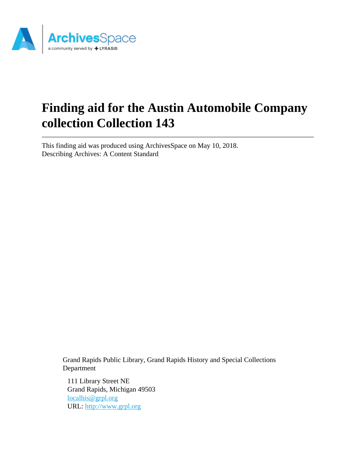

# **Finding aid for the Austin Automobile Company collection Collection 143**

This finding aid was produced using ArchivesSpace on May 10, 2018. Describing Archives: A Content Standard

> Grand Rapids Public Library, Grand Rapids History and Special Collections Department

111 Library Street NE Grand Rapids, Michigan 49503 [localhis@grpl.org](mailto:localhis@grpl.org) URL:<http://www.grpl.org>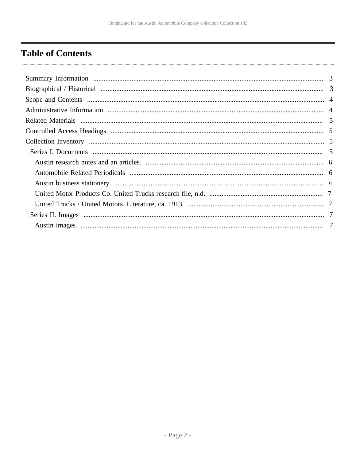## <span id="page-1-0"></span>**Table of Contents**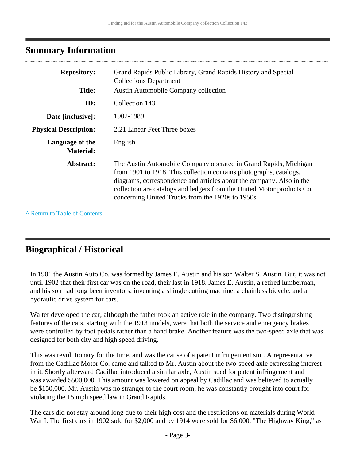## <span id="page-2-0"></span>**Summary Information**

| <b>Repository:</b>                  | Grand Rapids Public Library, Grand Rapids History and Special<br><b>Collections Department</b>                                                                                                                                                                                                                                                |
|-------------------------------------|-----------------------------------------------------------------------------------------------------------------------------------------------------------------------------------------------------------------------------------------------------------------------------------------------------------------------------------------------|
| <b>Title:</b>                       | <b>Austin Automobile Company collection</b>                                                                                                                                                                                                                                                                                                   |
| ID:                                 | Collection 143                                                                                                                                                                                                                                                                                                                                |
| Date [inclusive]:                   | 1902-1989                                                                                                                                                                                                                                                                                                                                     |
| <b>Physical Description:</b>        | 2.21 Linear Feet Three boxes                                                                                                                                                                                                                                                                                                                  |
| Language of the<br><b>Material:</b> | English                                                                                                                                                                                                                                                                                                                                       |
| Abstract:                           | The Austin Automobile Company operated in Grand Rapids, Michigan<br>from 1901 to 1918. This collection contains photographs, catalogs,<br>diagrams, correspondence and articles about the company. Also in the<br>collection are catalogs and ledgers from the United Motor products Co.<br>concerning United Trucks from the 1920s to 1950s. |

**^** [Return to Table of Contents](#page-1-0)

## <span id="page-2-1"></span>**Biographical / Historical**

In 1901 the Austin Auto Co. was formed by James E. Austin and his son Walter S. Austin. But, it was not until 1902 that their first car was on the road, their last in 1918. James E. Austin, a retired lumberman, and his son had long been inventors, inventing a shingle cutting machine, a chainless bicycle, and a hydraulic drive system for cars.

Walter developed the car, although the father took an active role in the company. Two distinguishing features of the cars, starting with the 1913 models, were that both the service and emergency brakes were controlled by foot pedals rather than a hand brake. Another feature was the two-speed axle that was designed for both city and high speed driving.

This was revolutionary for the time, and was the cause of a patent infringement suit. A representative from the Cadillac Motor Co. came and talked to Mr. Austin about the two-speed axle expressing interest in it. Shortly afterward Cadillac introduced a similar axle, Austin sued for patent infringement and was awarded \$500,000. This amount was lowered on appeal by Cadillac and was believed to actually be \$150,000. Mr. Austin was no stranger to the court room, he was constantly brought into court for violating the 15 mph speed law in Grand Rapids.

The cars did not stay around long due to their high cost and the restrictions on materials during World War I. The first cars in 1902 sold for \$2,000 and by 1914 were sold for \$6,000. "The Highway King," as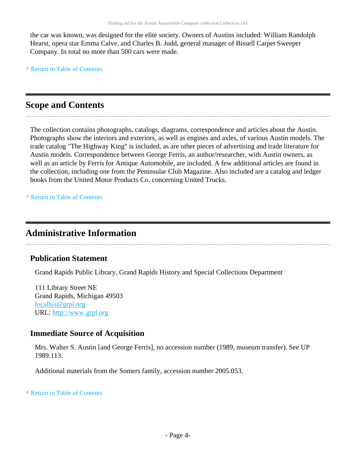the car was known, was designed for the elite society. Owners of Austins included: William Randolph Hearst, opera star Emma Calve, and Charles B. Judd, general manager of Bissell Carpet Sweeper Company. In total no more than 500 cars were made.

**^** [Return to Table of Contents](#page-1-0)

## <span id="page-3-0"></span>**Scope and Contents**

The collection contains photographs, catalogs, diagrams, correspondence and articles about the Austin. Photographs show the interiors and exteriors, as well as engines and axles, of various Austin models. The trade catalog "The Highway King" is included, as are other pieces of advertising and trade literature for Austin models. Correspondence between George Ferris, an author/researcher, with Austin owners, as well as an article by Ferris for Antique Automobile, are included. A few additional articles are found in the collection, including one from the Peninsular Club Magazine. Also included are a catalog and ledger books from the United Motor Products Co. concerning United Trucks.

**^** [Return to Table of Contents](#page-1-0)

## <span id="page-3-1"></span>**Administrative Information**

### **Publication Statement**

Grand Rapids Public Library, Grand Rapids History and Special Collections Department

111 Library Street NE Grand Rapids, Michigan 49503 [localhis@grpl.org](mailto:localhis@grpl.org) URL:<http://www.grpl.org>

### **Immediate Source of Acquisition**

Mrs. Walter S. Austin [and George Ferris], no accession number (1989, museum transfer). See UP 1989.113.

Additional materials from the Somers family, accession number 2005.053.

**^** [Return to Table of Contents](#page-1-0)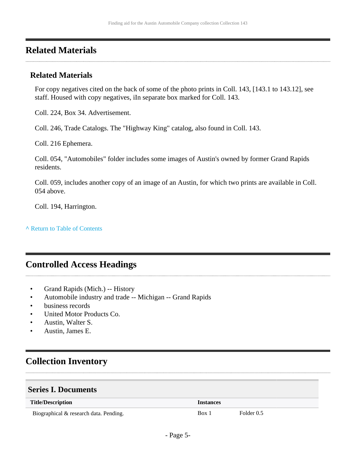## <span id="page-4-0"></span>**Related Materials**

### **Related Materials**

For copy negatives cited on the back of some of the photo prints in Coll. 143, [143.1 to 143.12], see staff. Housed with copy negatives, iIn separate box marked for Coll. 143.

Coll. 224, Box 34. Advertisement.

Coll. 246, Trade Catalogs. The "Highway King" catalog, also found in Coll. 143.

Coll. 216 Ephemera.

Coll. 054, "Automobiles" folder includes some images of Austin's owned by former Grand Rapids residents.

Coll. 059, includes another copy of an image of an Austin, for which two prints are available in Coll. 054 above.

Coll. 194, Harrington.

**^** [Return to Table of Contents](#page-1-0)

## <span id="page-4-1"></span>**Controlled Access Headings**

- Grand Rapids (Mich.) -- History
- Automobile industry and trade -- Michigan -- Grand Rapids
- business records
- United Motor Products Co.
- Austin, Walter S.
- Austin, James E.

## <span id="page-4-2"></span>**Collection Inventory**

### <span id="page-4-3"></span>**Series I. Documents**

| <b>Title/Description</b>               | <i><u><b>Instances</b></u></i> |            |
|----------------------------------------|--------------------------------|------------|
| Biographical & research data. Pending. | Box 1                          | Folder 0.5 |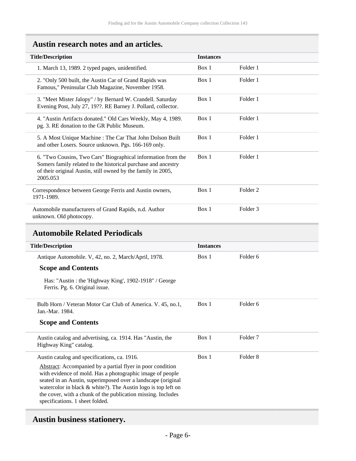## <span id="page-5-0"></span>**Austin research notes and an articles.**

| <b>Title/Description</b>                                                                                                                                                                                  | <b>Instances</b> |          |
|-----------------------------------------------------------------------------------------------------------------------------------------------------------------------------------------------------------|------------------|----------|
| 1. March 13, 1989. 2 typed pages, unidentified.                                                                                                                                                           | Box 1            | Folder 1 |
| 2. "Only 500 built, the Austin Car of Grand Rapids was<br>Famous," Peninsular Club Magazine, November 1958.                                                                                               | Box 1            | Folder 1 |
| 3. "Meet Mister Jalopy" / by Bernard W. Crandell. Saturday<br>Evening Post, July 27, 19??. RE Barney J. Pollard, collector.                                                                               | Box 1            | Folder 1 |
| 4. "Austin Artifacts donated." Old Cars Weekly, May 4, 1989.<br>pg. 3. RE donation to the GR Public Museum.                                                                                               | Box 1            | Folder 1 |
| 5. A Most Unique Machine: The Car That John Dolson Built<br>and other Losers. Source unknown. Pgs. 166-169 only.                                                                                          | Box 1            | Folder 1 |
| 6. "Two Cousins, Two Cars" Biographical information from the<br>Somers family related to the historical purchase and ancestry<br>of their original Austin, still owned by the family in 2005,<br>2005.053 | Box 1            | Folder 1 |
| Correspondence between George Ferris and Austin owners,<br>1971-1989.                                                                                                                                     | Box 1            | Folder 2 |
| Automobile manufacturers of Grand Rapids, n.d. Author<br>unknown. Old photocopy.                                                                                                                          | Box 1            | Folder 3 |

### <span id="page-5-1"></span>**Automobile Related Periodicals**

| <b>Title/Description</b>                                                                                                                                                                                                                                                                                                                                      | <b>Instances</b> |                     |
|---------------------------------------------------------------------------------------------------------------------------------------------------------------------------------------------------------------------------------------------------------------------------------------------------------------------------------------------------------------|------------------|---------------------|
| Antique Automobile. V, 42, no. 2, March/April, 1978.                                                                                                                                                                                                                                                                                                          | Box 1            | Folder 6            |
| <b>Scope and Contents</b>                                                                                                                                                                                                                                                                                                                                     |                  |                     |
| Has: "Austin : the 'Highway King', 1902-1918" / George<br>Ferris. Pg. 6. Original issue.                                                                                                                                                                                                                                                                      |                  |                     |
| Bulb Horn / Veteran Motor Car Club of America. V. 45, no.1,<br>Jan.-Mar. 1984.                                                                                                                                                                                                                                                                                | Box 1            | Folder 6            |
| <b>Scope and Contents</b>                                                                                                                                                                                                                                                                                                                                     |                  |                     |
| Austin catalog and advertising, ca. 1914. Has "Austin, the<br>Highway King" catalog.                                                                                                                                                                                                                                                                          | Box 1            | Folder 7            |
| Austin catalog and specifications, ca. 1916.                                                                                                                                                                                                                                                                                                                  | Box 1            | Folder <sub>8</sub> |
| Abstract: Accompanied by a partial flyer in poor condition<br>with evidence of mold. Has a photographic image of people<br>seated in an Austin, superimposed over a landscape (original<br>watercolor in black $&$ white?). The Austin logo is top left on<br>the cover, with a chunk of the publication missing. Includes<br>specifications. 1 sheet folded. |                  |                     |

## <span id="page-5-2"></span>**Austin business stationery.**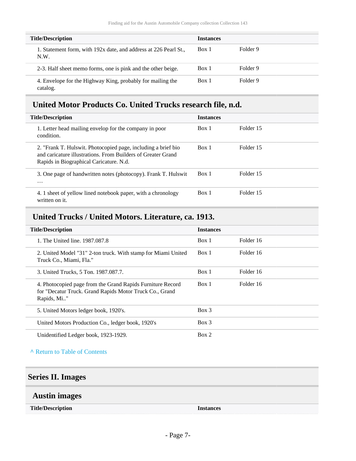| <b>Title/Description</b>                                                 | <b>Instances</b> |          |
|--------------------------------------------------------------------------|------------------|----------|
| 1. Statement form, with 192x date, and address at 226 Pearl St.,<br>N.W. | Box 1            | Folder 9 |
| 2-3. Half sheet memo forms, one is pink and the other beige.             | Box 1            | Folder 9 |
| 4. Envelope for the Highway King, probably for mailing the<br>catalog.   | Box 1            | Folder 9 |

### <span id="page-6-0"></span>**United Motor Products Co. United Trucks research file, n.d.**

| <b>Title/Description</b>                                                                                                                                                 | <b>Instances</b> |           |
|--------------------------------------------------------------------------------------------------------------------------------------------------------------------------|------------------|-----------|
| 1. Letter head mailing envelop for the company in poor<br>condition.                                                                                                     | Box 1            | Folder 15 |
| 2. "Frank T. Hulswit. Photocopied page, including a brief bio<br>and caricature illustrations. From Builders of Greater Grand<br>Rapids in Biographical Caricature. N.d. | Box 1            | Folder 15 |
| 3. One page of handwritten notes (photocopy). Frank T. Hulswit<br>$\cdots$                                                                                               | Box 1            | Folder 15 |
| 4. 1 sheet of yellow lined notebook paper, with a chronology<br>written on it.                                                                                           | Box 1            | Folder 15 |

## <span id="page-6-1"></span>**United Trucks / United Motors. Literature, ca. 1913.**

| <b>Title/Description</b>                                                                                                             | <b>Instances</b> |           |
|--------------------------------------------------------------------------------------------------------------------------------------|------------------|-----------|
| 1. The United line. 1987.087.8                                                                                                       | Box 1            | Folder 16 |
| 2. United Model "31" 2-ton truck. With stamp for Miami United<br>Truck Co., Miami, Fla."                                             | Box 1            | Folder 16 |
| 3. United Trucks, 5 Ton. 1987.087.7.                                                                                                 | Box 1            | Folder 16 |
| 4. Photocopied page from the Grand Rapids Furniture Record<br>for "Decatur Truck. Grand Rapids Motor Truck Co., Grand<br>Rapids, Mi" | Box 1            | Folder 16 |
| 5. United Motors ledger book, 1920's.                                                                                                | $Box$ 3          |           |
| United Motors Production Co., ledger book, 1920's                                                                                    | $Box$ 3          |           |
| Unidentified Ledger book, 1923-1929.                                                                                                 | Box 2            |           |

#### **^** [Return to Table of Contents](#page-1-0)

### <span id="page-6-2"></span>**Series II. Images**

### <span id="page-6-3"></span>**Austin images**

**Title/Description Instances**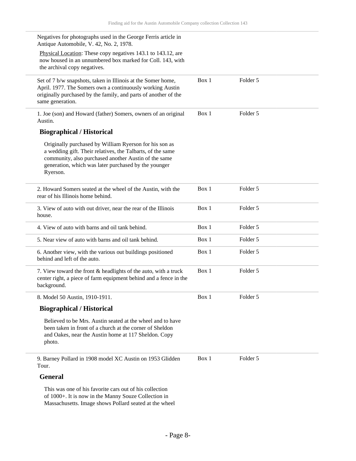| Negatives for photographs used in the George Ferris article in<br>Antique Automobile, V. 42, No. 2, 1978.                                                                                                                                        |       |          |  |
|--------------------------------------------------------------------------------------------------------------------------------------------------------------------------------------------------------------------------------------------------|-------|----------|--|
| Physical Location: These copy negatives 143.1 to 143.12, are<br>now housed in an unnumbered box marked for Coll. 143, with<br>the archival copy negatives.                                                                                       |       |          |  |
| Set of 7 b/w snapshots, taken in Illinois at the Somer home,<br>April. 1977. The Somers own a continuously working Austin<br>originally purchased by the family, and parts of another of the<br>same generation.                                 | Box 1 | Folder 5 |  |
| 1. Joe (son) and Howard (father) Somers, owners of an original<br>Austin.                                                                                                                                                                        | Box 1 | Folder 5 |  |
| <b>Biographical / Historical</b>                                                                                                                                                                                                                 |       |          |  |
| Originally purchased by William Ryerson for his son as<br>a wedding gift. Their relatives, the Talbarts, of the same<br>community, also purchased another Austin of the same<br>generation, which was later purchased by the younger<br>Ryerson. |       |          |  |
| 2. Howard Somers seated at the wheel of the Austin, with the<br>rear of his Illinois home behind.                                                                                                                                                | Box 1 | Folder 5 |  |
| 3. View of auto with out driver, near the rear of the Illinois<br>house.                                                                                                                                                                         | Box 1 | Folder 5 |  |
| 4. View of auto with barns and oil tank behind.                                                                                                                                                                                                  | Box 1 | Folder 5 |  |
| 5. Near view of auto with barns and oil tank behind.                                                                                                                                                                                             | Box 1 | Folder 5 |  |
| 6. Another view, with the various out buildings positioned<br>behind and left of the auto.                                                                                                                                                       | Box 1 | Folder 5 |  |
| 7. View toward the front & headlights of the auto, with a truck<br>center right, a piece of farm equipment behind and a fence in the<br>background.                                                                                              | Box 1 | Folder 5 |  |
| 8. Model 50 Austin, 1910-1911.                                                                                                                                                                                                                   | Box 1 | Folder 5 |  |
| <b>Biographical / Historical</b>                                                                                                                                                                                                                 |       |          |  |
| Believed to be Mrs. Austin seated at the wheel and to have<br>been taken in front of a church at the corner of Sheldon<br>and Oakes, near the Austin home at 117 Sheldon. Copy<br>photo.                                                         |       |          |  |
| 9. Barney Pollard in 1908 model XC Austin on 1953 Glidden<br>Tour.                                                                                                                                                                               | Box 1 | Folder 5 |  |
| <b>General</b>                                                                                                                                                                                                                                   |       |          |  |
| This was one of his favorite cars out of his collection<br>of 1000+. It is now in the Manny Souze Collection in<br>Massachusetts. Image shows Pollard seated at the wheel                                                                        |       |          |  |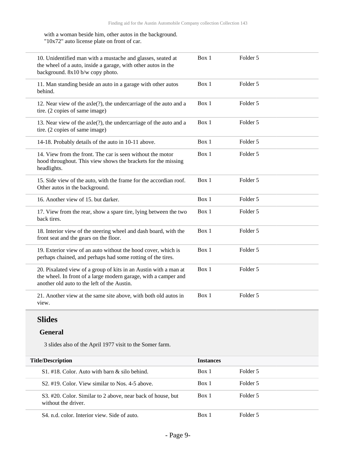#### with a woman beside him, other autos in the background. "10x72" auto license plate on front of car.

| 10. Unidentified man with a mustache and glasses, seated at<br>the wheel of a auto, inside a garage, with other autos in the<br>background. 8x10 b/w copy photo.                   | Box 1 | Folder 5 |
|------------------------------------------------------------------------------------------------------------------------------------------------------------------------------------|-------|----------|
| 11. Man standing beside an auto in a garage with other autos<br>behind.                                                                                                            | Box 1 | Folder 5 |
| 12. Near view of the axle(?), the undercarriage of the auto and a<br>tire. (2 copies of same image)                                                                                | Box 1 | Folder 5 |
| 13. Near view of the axle(?), the undercarriage of the auto and a<br>tire. (2 copies of same image)                                                                                | Box 1 | Folder 5 |
| 14-18. Probably details of the auto in 10-11 above.                                                                                                                                | Box 1 | Folder 5 |
| 14. View from the front. The car is seen without the motor<br>hood throughout. This view shows the brackets for the missing<br>headlights.                                         | Box 1 | Folder 5 |
| 15. Side view of the auto, with the frame for the accordian roof.<br>Other autos in the background.                                                                                | Box 1 | Folder 5 |
| 16. Another view of 15. but darker.                                                                                                                                                | Box 1 | Folder 5 |
| 17. View from the rear, show a spare tire, lying between the two<br>back tires.                                                                                                    | Box 1 | Folder 5 |
| 18. Interior view of the steering wheel and dash board, with the<br>front seat and the gears on the floor.                                                                         | Box 1 | Folder 5 |
| 19. Exterior view of an auto without the hood cover, which is<br>perhaps chained, and perhaps had some rotting of the tires.                                                       | Box 1 | Folder 5 |
| 20. Pixalated view of a group of kits in an Austin with a man at<br>the wheel. In front of a large modern garage, with a camper and<br>another old auto to the left of the Austin. | Box 1 | Folder 5 |
| 21. Another view at the same site above, with both old autos in<br>view.                                                                                                           | Box 1 | Folder 5 |

### **Slides**

#### **General**

3 slides also of the April 1977 visit to the Somer farm.

| <b>Title/Description</b>                                                           | <b>Instances</b> |          |  |
|------------------------------------------------------------------------------------|------------------|----------|--|
| $S1$ , #18. Color. Auto with barn & silo behind.                                   | Box 1            | Folder 5 |  |
| S <sub>2</sub> #19. Color. View similar to Nos. 4-5 above.                         | Box 1            | Folder 5 |  |
| S3. #20. Color. Similar to 2 above, near back of house, but<br>without the driver. | Box 1            | Folder 5 |  |
| S4, n.d. color. Interior view. Side of auto.                                       | Box 1            | Folder 5 |  |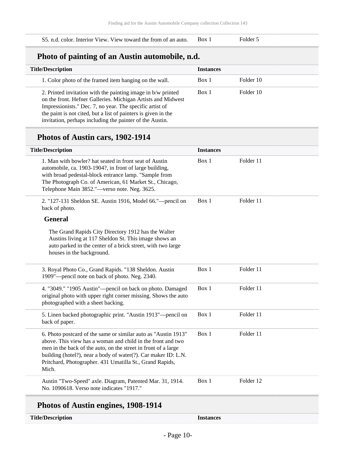#### S5. n.d. color. Interior View. View toward the from of an auto. Box 1 Folder 5

### **Photo of painting of an Austin automobile, n.d.**

| <b>Title/Description</b>                                                                                                                                                                                                                                                                                               | <b>Instances</b> |           |
|------------------------------------------------------------------------------------------------------------------------------------------------------------------------------------------------------------------------------------------------------------------------------------------------------------------------|------------------|-----------|
| 1. Color photo of the framed item hanging on the wall.                                                                                                                                                                                                                                                                 | Box 1            | Folder 10 |
| 2. Printed invitation with the painting image in b/w printed<br>on the front. Hefner Galleries. Michigan Artists and Midwest<br>Impressionists." Dec. 7, no year. The specific artist of<br>the paint is not cited, but a list of painters is given in the<br>invitation, perhaps including the painter of the Austin. | Box 1            | Folder 10 |

### **Photos of Austin cars, 1902-1914**

| <b>Title/Description</b>                                                                                                                                                                                                                                                                                                               | <b>Instances</b> |           |
|----------------------------------------------------------------------------------------------------------------------------------------------------------------------------------------------------------------------------------------------------------------------------------------------------------------------------------------|------------------|-----------|
| 1. Man with bowler? hat seated in front seat of Austin<br>automobile, ca. 1903-1904?, in front of large building,<br>with broad pedestal-block entrance lamp. "Sample from<br>The Photograph Co. of American, 61 Market St., Chicago,<br>Telephone Main 3852."-verso note. Neg. 3625.                                                  | Box 1            | Folder 11 |
| 2. "127-131 Sheldon SE. Austin 1916, Model 66."—pencil on<br>back of photo.                                                                                                                                                                                                                                                            | Box 1            | Folder 11 |
| <b>General</b>                                                                                                                                                                                                                                                                                                                         |                  |           |
| The Grand Rapids City Directory 1912 has the Walter<br>Austins living at 117 Sheldon St. This image shows an<br>auto parked in the center of a brick street, with two large<br>houses in the background.                                                                                                                               |                  |           |
| 3. Royal Photo Co., Grand Rapids. "138 Sheldon. Austin<br>1909"-pencil note on back of photo. Neg. 2340.                                                                                                                                                                                                                               | Box 1            | Folder 11 |
| 4. "3049." "1905 Austin"-pencil on back on photo. Damaged<br>original photo with upper right corner missing. Shows the auto<br>photographed with a sheet backing.                                                                                                                                                                      | Box 1            | Folder 11 |
| 5. Linen backed photographic print. "Austin 1913"—pencil on<br>back of paper.                                                                                                                                                                                                                                                          | Box 1            | Folder 11 |
| 6. Photo postcard of the same or similar auto as "Austin 1913"<br>above. This view has a woman and child in the front and two<br>men in the back of the auto, on the street in front of a large<br>building (hotel?), near a body of water(?). Car maker ID: L.N.<br>Pritchard, Photographer. 431 Umatilla St., Grand Rapids,<br>Mich. | Box 1            | Folder 11 |
| Austin "Two-Speed" axle. Diagram, Patented Mar. 31, 1914.<br>No. 1090618. Verso note indicates "1917."                                                                                                                                                                                                                                 | Box 1            | Folder 12 |
| Photos of Austin engines, 1908-1914                                                                                                                                                                                                                                                                                                    |                  |           |

#### **Title/Description Instances**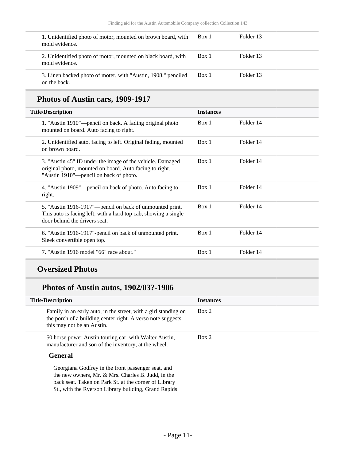| 1. Unidentified photo of motor, mounted on brown board, with<br>mold evidence. | Box 1 | Folder 13 |
|--------------------------------------------------------------------------------|-------|-----------|
| 2. Unidentified photo of motor, mounted on black board, with<br>mold evidence. | Box 1 | Folder 13 |
| 3. Linen backed photo of moter, with "Austin, 1908," penciled<br>on the back.  | Box 1 | Folder 13 |

## **Photos of Austin cars, 1909-1917**

| <b>Title/Description</b>                                                                                                                                       | <b>Instances</b> |           |
|----------------------------------------------------------------------------------------------------------------------------------------------------------------|------------------|-----------|
| 1. "Austin 1910"—pencil on back. A fading original photo<br>mounted on board. Auto facing to right.                                                            | Box 1            | Folder 14 |
| 2. Unidentified auto, facing to left. Original fading, mounted<br>on brown board.                                                                              | Box 1            | Folder 14 |
| 3. "Austin 45" ID under the image of the vehicle. Damaged<br>original photo, mounted on board. Auto facing to right.<br>"Austin 1910"—pencil on back of photo. | Box 1            | Folder 14 |
| 4. "Austin 1909"—pencil on back of photo. Auto facing to<br>right.                                                                                             | Box 1            | Folder 14 |
| 5. "Austin 1916-1917"—pencil on back of unmounted print.<br>This auto is facing left, with a hard top cab, showing a single<br>door behind the drivers seat.   | Box 1            | Folder 14 |
| 6. "Austin 1916-1917"-pencil on back of unmounted print.<br>Sleek convertible open top.                                                                        | Box 1            | Folder 14 |
| 7. "Austin 1916 model "66" race about."                                                                                                                        | Box 1            | Folder 14 |

### **Oversized Photos**

## **Photos of Austin autos, 1902/03?-1906**

| <b>Title/Description</b>                                                                                                                                                                                                                                                                                                                                                                                                                                                                                                                                                                                | <b>Instances</b> |
|---------------------------------------------------------------------------------------------------------------------------------------------------------------------------------------------------------------------------------------------------------------------------------------------------------------------------------------------------------------------------------------------------------------------------------------------------------------------------------------------------------------------------------------------------------------------------------------------------------|------------------|
| Family in an early auto, in the street, with a girl standing on<br>the porch of a building center right. A verso note suggests<br>this may not be an Austin.                                                                                                                                                                                                                                                                                                                                                                                                                                            | Box 2            |
| 50 horse power Austin touring car, with Walter Austin,<br>manufacturer and son of the inventory, at the wheel.                                                                                                                                                                                                                                                                                                                                                                                                                                                                                          | Box 2            |
| <b>General</b>                                                                                                                                                                                                                                                                                                                                                                                                                                                                                                                                                                                          |                  |
| Georgiana Godfrey in the front passenger seat, and<br>the new owners, Mr. & Mrs. Charles B. Judd, in the<br>$1 \quad 1 \quad \ldots \quad \text{m} \quad 1 \quad \text{m} \quad 1 \quad \text{m} \quad \ldots \quad \text{m} \quad \text{m} \quad \text{m} \quad \text{m} \quad \text{m} \quad \text{m} \quad \text{m} \quad \text{m} \quad \text{m} \quad \text{m} \quad \text{m} \quad \text{m} \quad \text{m} \quad \text{m} \quad \text{m} \quad \text{m} \quad \text{m} \quad \text{m} \quad \text{m} \quad \text{m} \quad \text{m} \quad \text{m} \quad \text{m} \quad \text{m} \quad \text{m} \$ |                  |

back seat. Taken on Park St. at the corner of Library St., with the Ryerson Library building, Grand Rapids